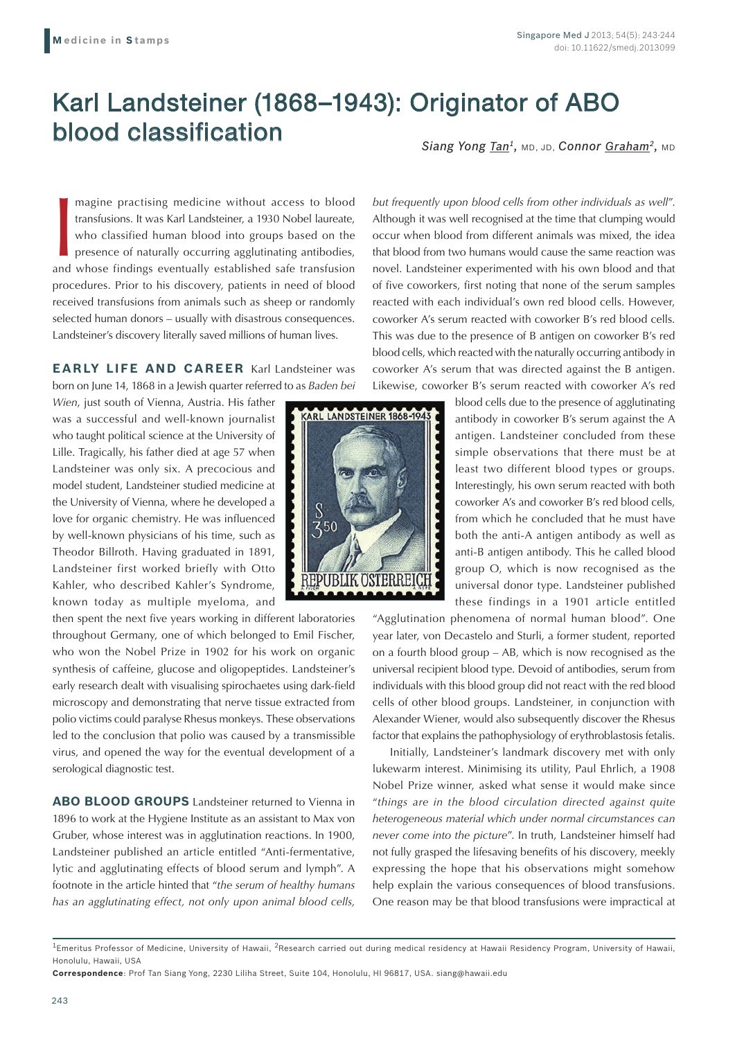## Karl Landsteiner (1868–1943): Originator of ABO blood classification

*Siang Yong Tan1,* MD, JD, *Connor Graham2,* MD

magine practising medicine without access to blood transfusions. It was Karl Landsteiner, a 1930 Nobel laureate, who classified human blood into groups based on the presence of naturally occurring agglutinating antibodies, magine practising medicine without access to blood transfusions. It was Karl Landsteiner, a 1930 Nobel laureate, who classified human blood into groups based on the presence of naturally occurring agglutinating antibodies, procedures. Prior to his discovery, patients in need of blood received transfusions from animals such as sheep or randomly selected human donors – usually with disastrous consequences. Landsteiner's discovery literally saved millions of human lives.

**EARLY LIFE AND CAREER** Karl Landsteiner was born on June 14, 1868 in a Jewish quarter referred to as *Baden bei* 

*Wien*, just south of Vienna, Austria. His father was a successful and well-known journalist who taught political science at the University of Lille. Tragically, his father died at age 57 when Landsteiner was only six. A precocious and model student, Landsteiner studied medicine at the University of Vienna, where he developed a love for organic chemistry. He was influenced by well-known physicians of his time, such as Theodor Billroth. Having graduated in 1891, Landsteiner first worked briefly with Otto Kahler, who described Kahler's Syndrome, known today as multiple myeloma, and

then spent the next five years working in different laboratories throughout Germany, one of which belonged to Emil Fischer, who won the Nobel Prize in 1902 for his work on organic synthesis of caffeine, glucose and oligopeptides. Landsteiner's early research dealt with visualising spirochaetes using dark-field microscopy and demonstrating that nerve tissue extracted from polio victims could paralyse Rhesus monkeys. These observations led to the conclusion that polio was caused by a transmissible virus, and opened the way for the eventual development of a serological diagnostic test.

**ABO BLOOD GROUPS** Landsteiner returned to Vienna in 1896 to work at the Hygiene Institute as an assistant to Max von Gruber, whose interest was in agglutination reactions. In 1900, Landsteiner published an article entitled "Anti-fermentative, lytic and agglutinating effects of blood serum and lymph". A footnote in the article hinted that "*the serum of healthy humans has an agglutinating effect, not only upon animal blood cells,* 



*but frequently upon blood cells from other individuals as well*". Although it was well recognised at the time that clumping would occur when blood from different animals was mixed, the idea that blood from two humans would cause the same reaction was novel. Landsteiner experimented with his own blood and that of five coworkers, first noting that none of the serum samples reacted with each individual's own red blood cells. However, coworker A's serum reacted with coworker B's red blood cells. This was due to the presence of B antigen on coworker B's red blood cells, which reacted with the naturally occurring antibody in coworker A's serum that was directed against the B antigen. Likewise, coworker B's serum reacted with coworker A's red

> blood cells due to the presence of agglutinating antibody in coworker B's serum against the A antigen. Landsteiner concluded from these simple observations that there must be at least two different blood types or groups. Interestingly, his own serum reacted with both coworker A's and coworker B's red blood cells, from which he concluded that he must have both the anti-A antigen antibody as well as anti-B antigen antibody. This he called blood group O, which is now recognised as the universal donor type. Landsteiner published these findings in a 1901 article entitled

"Agglutination phenomena of normal human blood". One year later, von Decastelo and Sturli, a former student, reported on a fourth blood group – AB, which is now recognised as the universal recipient blood type. Devoid of antibodies, serum from individuals with this blood group did not react with the red blood cells of other blood groups. Landsteiner, in conjunction with Alexander Wiener, would also subsequently discover the Rhesus factor that explains the pathophysiology of erythroblastosis fetalis.

Initially, Landsteiner's landmark discovery met with only lukewarm interest. Minimising its utility, Paul Ehrlich, a 1908 Nobel Prize winner, asked what sense it would make since "*things are in the blood circulation directed against quite heterogeneous material which under normal circumstances can never come into the picture*". In truth, Landsteiner himself had not fully grasped the lifesaving benefits of his discovery, meekly expressing the hope that his observations might somehow help explain the various consequences of blood transfusions. One reason may be that blood transfusions were impractical at

 $1$ Emeritus Professor of Medicine, University of Hawaii,  ${}^{2}$ Research carried out during medical residency at Hawaii Residency Program, University of Hawaii, Honolulu, Hawaii, USA

**Correspondence**: Prof Tan Siang Yong, 2230 Liliha Street, Suite 104, Honolulu, HI 96817, USA. siang@hawaii.edu